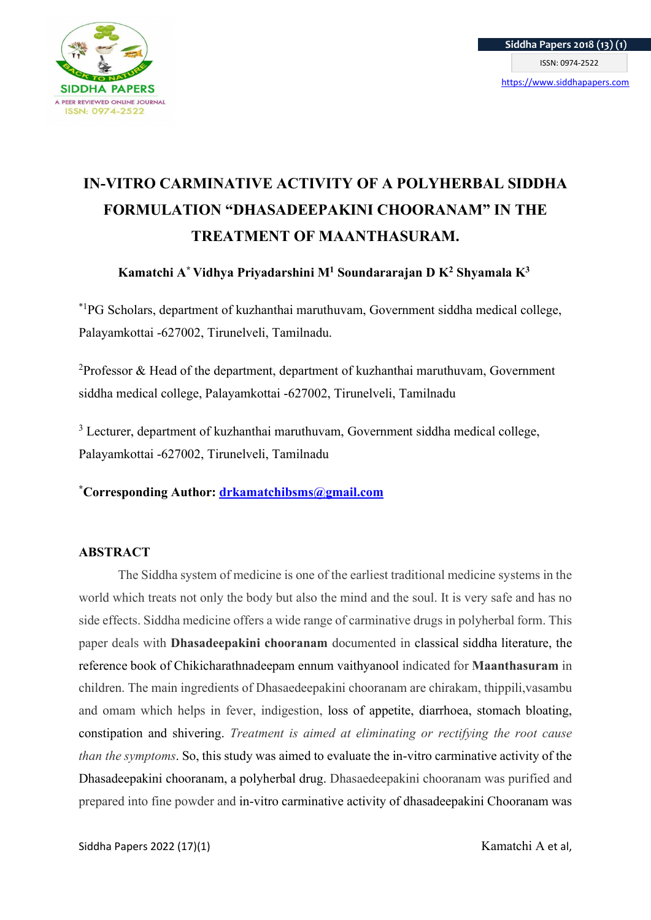

# IN-VITRO CARMINATIVE ACTIVITY OF A POLYHERBAL SIDDHA FORMULATION "DHASADEEPAKINI CHOORANAM" IN THE TREATMENT OF MAANTHASURAM.

# Kamatchi A\* Vidhya Priyadarshini M<sup>1</sup> Soundararajan D K<sup>2</sup> Shyamala K<sup>3</sup>

\*1PG Scholars, department of kuzhanthai maruthuvam, Government siddha medical college, Palayamkottai -627002, Tirunelveli, Tamilnadu.

<sup>2</sup>Professor & Head of the department, department of kuzhanthai maruthuvam, Government siddha medical college, Palayamkottai -627002, Tirunelveli, Tamilnadu

<sup>3</sup> Lecturer, department of kuzhanthai maruthuvam, Government siddha medical college, Palayamkottai -627002, Tirunelveli, Tamilnadu

\*Corresponding Author: drkamatchibsms@gmail.com

#### ABSTRACT

The Siddha system of medicine is one of the earliest traditional medicine systems in the world which treats not only the body but also the mind and the soul. It is very safe and has no side effects. Siddha medicine offers a wide range of carminative drugs in polyherbal form. This paper deals with Dhasadeepakini chooranam documented in classical siddha literature, the reference book of Chikicharathnadeepam ennum vaithyanool indicated for Maanthasuram in children. The main ingredients of Dhasaedeepakini chooranam are chirakam, thippili,vasambu and omam which helps in fever, indigestion, loss of appetite, diarrhoea, stomach bloating, constipation and shivering. Treatment is aimed at eliminating or rectifying the root cause than the symptoms. So, this study was aimed to evaluate the in-vitro carminative activity of the Dhasadeepakini chooranam, a polyherbal drug. Dhasaedeepakini chooranam was purified and prepared into fine powder and in-vitro carminative activity of dhasadeepakini Chooranam was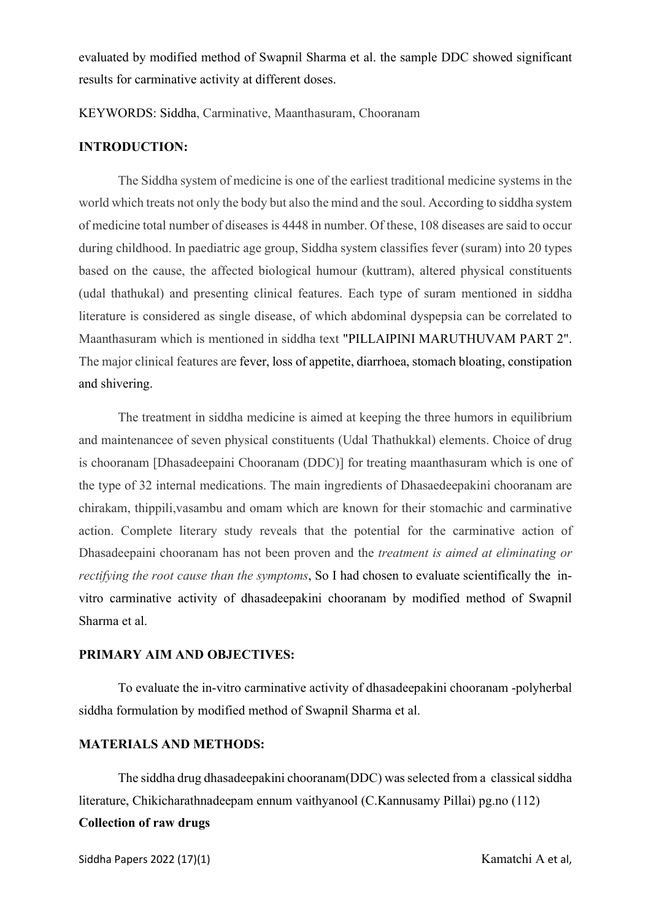evaluated by modified method of Swapnil Sharma et al. the sample DDC showed significant results for carminative activity at different doses.

KEYWORDS: Siddha, Carminative, Maanthasuram, Chooranam

#### INTRODUCTION:

The Siddha system of medicine is one of the earliest traditional medicine systems in the world which treats not only the body but also the mind and the soul. According to siddha system of medicine total number of diseases is 4448 in number. Of these, 108 diseases are said to occur during childhood. In paediatric age group, Siddha system classifies fever (suram) into 20 types based on the cause, the affected biological humour (kuttram), altered physical constituents (udal thathukal) and presenting clinical features. Each type of suram mentioned in siddha literature is considered as single disease, of which abdominal dyspepsia can be correlated to Maanthasuram which is mentioned in siddha text "PILLAIPINI MARUTHUVAM PART 2". The major clinical features are fever, loss of appetite, diarrhoea, stomach bloating, constipation and shivering.

 The treatment in siddha medicine is aimed at keeping the three humors in equilibrium and maintenancee of seven physical constituents (Udal Thathukkal) elements. Choice of drug is chooranam [Dhasadeepaini Chooranam (DDC)] for treating maanthasuram which is one of the type of 32 internal medications. The main ingredients of Dhasaedeepakini chooranam are chirakam, thippili,vasambu and omam which are known for their stomachic and carminative action. Complete literary study reveals that the potential for the carminative action of Dhasadeepaini chooranam has not been proven and the treatment is aimed at eliminating or rectifying the root cause than the symptoms, So I had chosen to evaluate scientifically the invitro carminative activity of dhasadeepakini chooranam by modified method of Swapnil Sharma et al.

#### PRIMARY AIM AND OBJECTIVES:

 To evaluate the in-vitro carminative activity of dhasadeepakini chooranam -polyherbal siddha formulation by modified method of Swapnil Sharma et al.

#### MATERIALS AND METHODS:

The siddha drug dhasadeepakini chooranam(DDC) was selected from a classical siddha literature, Chikicharathnadeepam ennum vaithyanool (C.Kannusamy Pillai) pg.no (112) Collection of raw drugs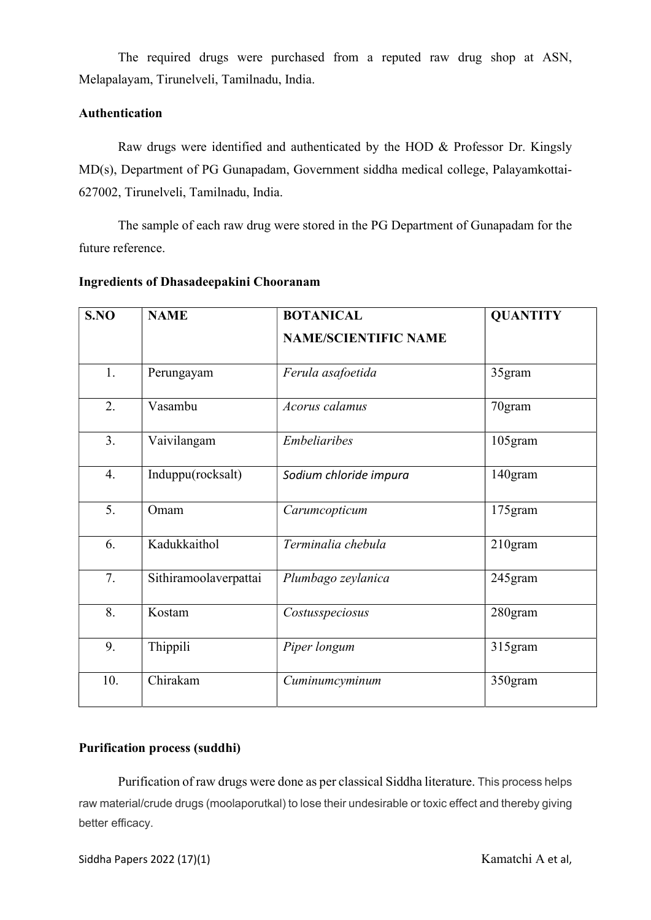The required drugs were purchased from a reputed raw drug shop at ASN, Melapalayam, Tirunelveli, Tamilnadu, India.

## Authentication

 Raw drugs were identified and authenticated by the HOD & Professor Dr. Kingsly MD(s), Department of PG Gunapadam, Government siddha medical college, Palayamkottai-627002, Tirunelveli, Tamilnadu, India.

The sample of each raw drug were stored in the PG Department of Gunapadam for the future reference.

| S.NO | <b>NAME</b>           | <b>BOTANICAL</b>            | <b>QUANTITY</b> |
|------|-----------------------|-----------------------------|-----------------|
|      |                       | <b>NAME/SCIENTIFIC NAME</b> |                 |
| 1.   | Perungayam            | Ferula asafoetida           | 35gram          |
| 2.   | Vasambu               | Acorus calamus              | 70gram          |
| 3.   | Vaivilangam           | <b>Embeliaribes</b>         | 105gram         |
| 4.   | Induppu(rocksalt)     | Sodium chloride impura      | 140gram         |
| 5.   | Omam                  | Carumcopticum               | 175gram         |
| 6.   | Kadukkaithol          | Terminalia chebula          | $210$ gram      |
| 7.   | Sithiramoolaverpattai | Plumbago zeylanica          | 245gram         |
| 8.   | Kostam                | Costusspeciosus             | 280gram         |
| 9.   | Thippili              | Piper longum                | 315gram         |
| 10.  | Chirakam              | Cuminumcyminum              | 350gram         |

#### Ingredients of Dhasadeepakini Chooranam

## Purification process (suddhi)

Purification of raw drugs were done as per classical Siddha literature. This process helps raw material/crude drugs (moolaporutkal) to lose their undesirable or toxic effect and thereby giving better efficacy.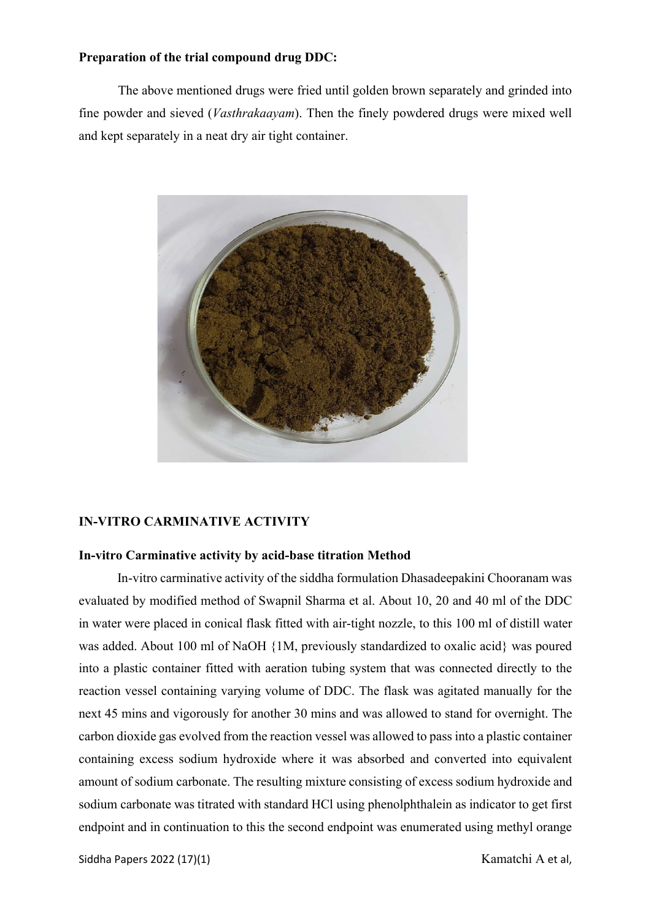#### Preparation of the trial compound drug DDC:

The above mentioned drugs were fried until golden brown separately and grinded into fine powder and sieved (Vasthrakaayam). Then the finely powdered drugs were mixed well and kept separately in a neat dry air tight container.



#### IN-VITRO CARMINATIVE ACTIVITY

#### In-vitro Carminative activity by acid-base titration Method

In-vitro carminative activity of the siddha formulation Dhasadeepakini Chooranam was evaluated by modified method of Swapnil Sharma et al. About 10, 20 and 40 ml of the DDC in water were placed in conical flask fitted with air-tight nozzle, to this 100 ml of distill water was added. About 100 ml of NaOH {1M, previously standardized to oxalic acid} was poured into a plastic container fitted with aeration tubing system that was connected directly to the reaction vessel containing varying volume of DDC. The flask was agitated manually for the next 45 mins and vigorously for another 30 mins and was allowed to stand for overnight. The carbon dioxide gas evolved from the reaction vessel was allowed to pass into a plastic container containing excess sodium hydroxide where it was absorbed and converted into equivalent amount of sodium carbonate. The resulting mixture consisting of excess sodium hydroxide and sodium carbonate was titrated with standard HCl using phenolphthalein as indicator to get first endpoint and in continuation to this the second endpoint was enumerated using methyl orange

Siddha Papers 2022 (17)(1) Kamatchi A et al,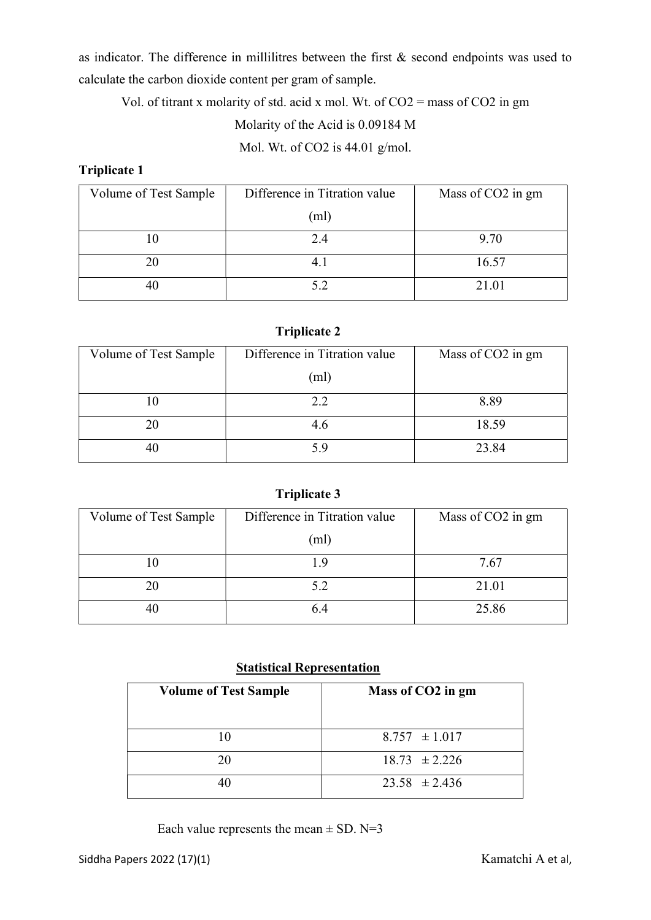as indicator. The difference in millilitres between the first & second endpoints was used to calculate the carbon dioxide content per gram of sample.

Vol. of titrant x molarity of std. acid x mol. Wt. of CO2 = mass of CO2 in gm Molarity of the Acid is 0.09184 M

Mol. Wt. of CO2 is 44.01 g/mol.

Triplicate 1

| Volume of Test Sample | Difference in Titration value | Mass of CO2 in gm |
|-----------------------|-------------------------------|-------------------|
|                       | (ml)                          |                   |
|                       | 2.4                           | 9.70              |
|                       | 4.1                           | 16.57             |
|                       | 5.2                           | 21.01             |

## Triplicate 2

| Volume of Test Sample | Difference in Titration value | Mass of CO2 in gm |
|-----------------------|-------------------------------|-------------------|
|                       | (ml)                          |                   |
|                       | 2.2                           | 8.89              |
|                       | 4.6                           | 18.59             |
|                       | 5.9                           | 23.84             |

# Triplicate 3

| Volume of Test Sample | Difference in Titration value | Mass of CO2 in gm |
|-----------------------|-------------------------------|-------------------|
|                       | (ml)                          |                   |
|                       | 1.9                           | 7.67              |
|                       | 5.2                           | 21.01             |
|                       | 6.4                           | 25.86             |

## Statistical Representation

| <b>Volume of Test Sample</b> | Mass of CO2 in gm |
|------------------------------|-------------------|
| 10                           | $8.757 \pm 1.017$ |
| 20                           | $18.73 \pm 2.226$ |
|                              | $23.58 \pm 2.436$ |

Each value represents the mean  $\pm$  SD. N=3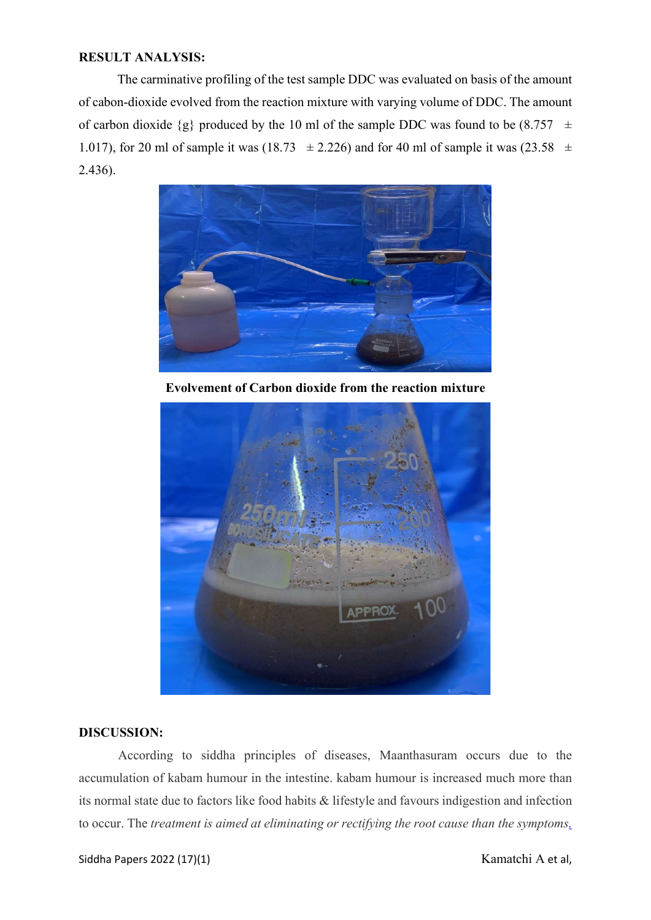#### RESULT ANALYSIS:

The carminative profiling of the test sample DDC was evaluated on basis of the amount of cabon-dioxide evolved from the reaction mixture with varying volume of DDC. The amount of carbon dioxide  $\{g\}$  produced by the 10 ml of the sample DDC was found to be  $(8.757 \pm 1)$ 1.017), for 20 ml of sample it was (18.73  $\pm$  2.226) and for 40 ml of sample it was (23.58  $\pm$ 2.436).



Evolvement of Carbon dioxide from the reaction mixture



#### DISCUSSION:

According to siddha principles of diseases, Maanthasuram occurs due to the accumulation of kabam humour in the intestine. kabam humour is increased much more than its normal state due to factors like food habits & lifestyle and favours indigestion and infection to occur. The treatment is aimed at eliminating or rectifying the root cause than the symptoms.

Siddha Papers 2022 (17)(1) Kamatchi A et al,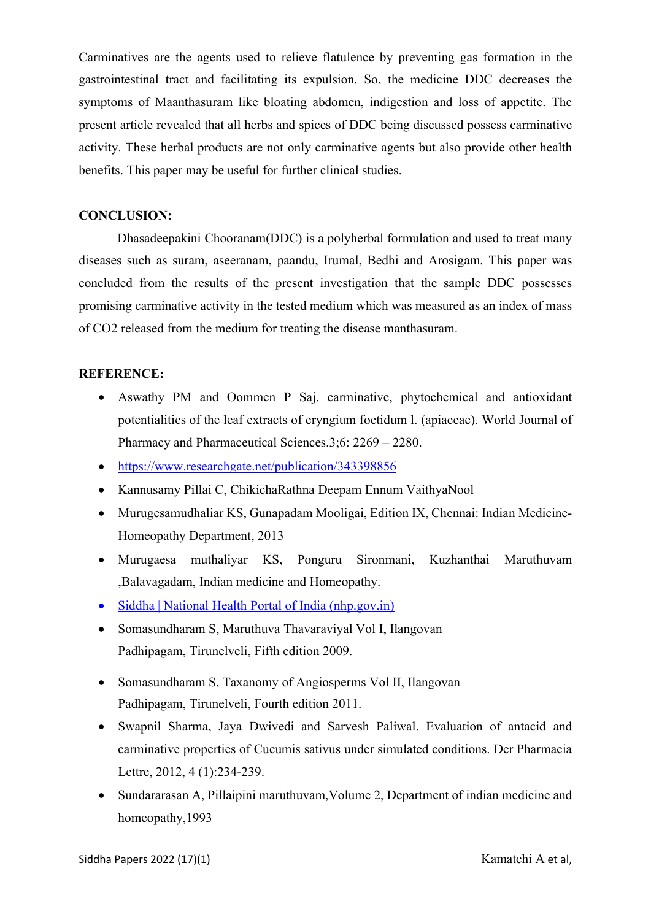Carminatives are the agents used to relieve flatulence by preventing gas formation in the gastrointestinal tract and facilitating its expulsion. So, the medicine DDC decreases the symptoms of Maanthasuram like bloating abdomen, indigestion and loss of appetite. The present article revealed that all herbs and spices of DDC being discussed possess carminative activity. These herbal products are not only carminative agents but also provide other health benefits. This paper may be useful for further clinical studies.

#### CONCLUSION:

Dhasadeepakini Chooranam(DDC) is a polyherbal formulation and used to treat many diseases such as suram, aseeranam, paandu, Irumal, Bedhi and Arosigam. This paper was concluded from the results of the present investigation that the sample DDC possesses promising carminative activity in the tested medium which was measured as an index of mass of CO2 released from the medium for treating the disease manthasuram.

#### REFERENCE:

- Aswathy PM and Oommen P Saj. carminative, phytochemical and antioxidant potentialities of the leaf extracts of eryngium foetidum l. (apiaceae). World Journal of Pharmacy and Pharmaceutical Sciences.3;6: 2269 – 2280.
- https://www.researchgate.net/publication/343398856
- Kannusamy Pillai C, ChikichaRathna Deepam Ennum VaithyaNool
- Murugesamudhaliar KS, Gunapadam Mooligai, Edition IX, Chennai: Indian Medicine-Homeopathy Department, 2013
- Murugaesa muthaliyar KS, Ponguru Sironmani, Kuzhanthai Maruthuvam ,Balavagadam, Indian medicine and Homeopathy.
- Siddha | National Health Portal of India (nhp.gov.in)
- Somasundharam S, Maruthuva Thavaraviyal Vol I, Ilangovan Padhipagam, Tirunelveli, Fifth edition 2009.
- Somasundharam S, Taxanomy of Angiosperms Vol II, Ilangovan Padhipagam, Tirunelveli, Fourth edition 2011.
- Swapnil Sharma, Jaya Dwivedi and Sarvesh Paliwal. Evaluation of antacid and carminative properties of Cucumis sativus under simulated conditions. Der Pharmacia Lettre, 2012, 4 (1):234-239.
- Sundararasan A, Pillaipini maruthuvam,Volume 2, Department of indian medicine and homeopathy,1993